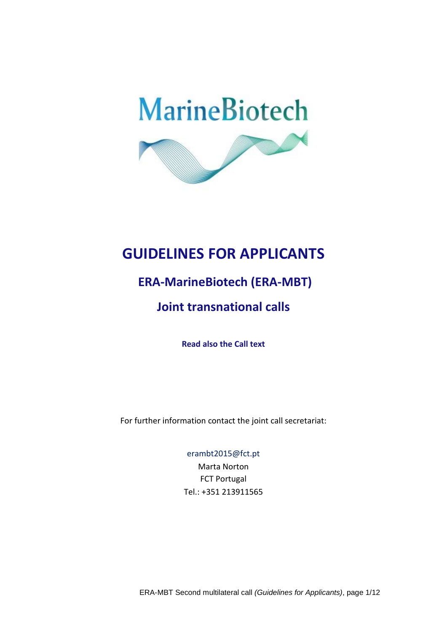

# **GUIDELINES FOR APPLICANTS**

# **ERA-MarineBiotech (ERA-MBT)**

# **Joint transnational calls**

**Read also the Call text**

For further information contact the joint call secretariat:

#### [erambt2015@fct.pt](mailto:mbt2015@fct.pt)

Marta Norton FCT Portugal Tel.: +351 213911565

ERA-MBT Second multilateral call *(Guidelines for Applicants)*, page 1/12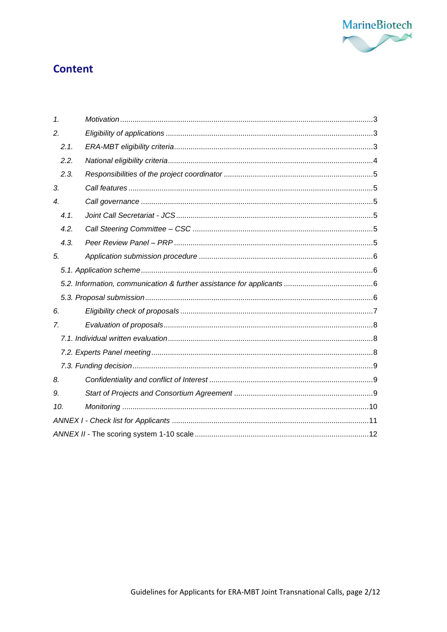

## **Content**

| $\mathbf{1}$     |      |  |  |  |
|------------------|------|--|--|--|
| 2.               |      |  |  |  |
|                  | 2.1. |  |  |  |
|                  | 2.2. |  |  |  |
|                  | 2.3. |  |  |  |
| 3.               |      |  |  |  |
| $\overline{4}$ . |      |  |  |  |
|                  | 4.1. |  |  |  |
|                  | 4.2. |  |  |  |
|                  | 4.3. |  |  |  |
| 5.               |      |  |  |  |
|                  |      |  |  |  |
|                  |      |  |  |  |
|                  |      |  |  |  |
| 6.               |      |  |  |  |
| 7.               |      |  |  |  |
|                  |      |  |  |  |
|                  |      |  |  |  |
|                  |      |  |  |  |
| 8.               |      |  |  |  |
| 9.               |      |  |  |  |
| 10.              |      |  |  |  |
|                  |      |  |  |  |
|                  |      |  |  |  |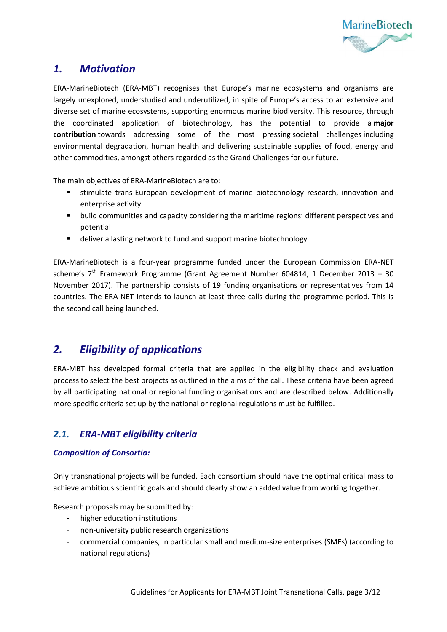

### <span id="page-2-0"></span>*1. Motivation*

ERA-MarineBiotech (ERA-MBT) recognises that Europe's marine ecosystems and organisms are largely unexplored, understudied and underutilized, in spite of Europe's access to an extensive and diverse set of marine ecosystems, supporting enormous marine biodiversity. This resource, through the coordinated application of biotechnology, has the potential to provide a **major contribution** towards addressing some of the most pressing societal challenges including environmental degradation, human health and delivering sustainable supplies of food, energy and other commodities, amongst others regarded as the Grand Challenges for our future.

The main objectives of ERA-MarineBiotech are to:

- stimulate trans-European development of marine biotechnology research, innovation and enterprise activity
- **•** build communities and capacity considering the maritime regions' different perspectives and potential
- deliver a lasting network to fund and support marine biotechnology

ERA-MarineBiotech is a four-year programme funded under the European Commission ERA-NET scheme's  $7<sup>th</sup>$  Framework Programme (Grant Agreement Number 604814, 1 December 2013 – 30 November 2017). The partnership consists of 19 funding organisations or representatives from 14 countries. The ERA-NET intends to launch at least three calls during the programme period. This is the second call being launched.

### <span id="page-2-1"></span>*2. Eligibility of applications*

ERA-MBT has developed formal criteria that are applied in the eligibility check and evaluation process to select the best projects as outlined in the aims of the call. These criteria have been agreed by all participating national or regional funding organisations and are described below. Additionally more specific criteria set up by the national or regional regulations must be fulfilled.

### <span id="page-2-2"></span>*2.1. ERA-MBT eligibility criteria*

#### *Composition of Consortia:*

Only transnational projects will be funded. Each consortium should have the optimal critical mass to achieve ambitious scientific goals and should clearly show an added value from working together.

Research proposals may be submitted by:

- higher education institutions
- non-university public research organizations
- commercial companies, in particular small and medium-size enterprises (SMEs) (according to national regulations)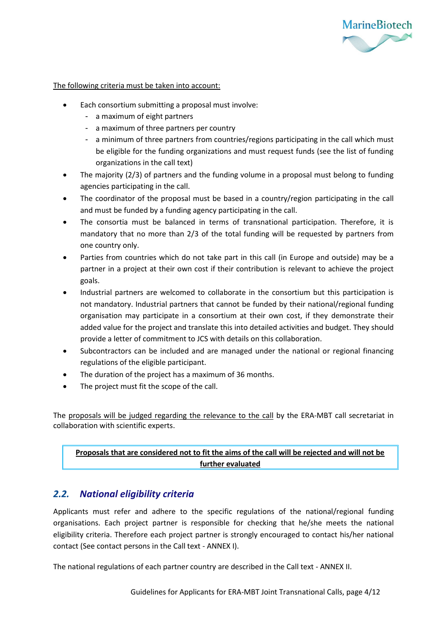

The following criteria must be taken into account:

- Each consortium submitting a proposal must involve:
	- a maximum of eight partners
	- a maximum of three partners per country
	- a minimum of three partners from countries/regions participating in the call which must be eligible for the funding organizations and must request funds (see the list of funding organizations in the call text)
- The majority (2/3) of partners and the funding volume in a proposal must belong to funding agencies participating in the call.
- The coordinator of the proposal must be based in a country/region participating in the call and must be funded by a funding agency participating in the call.
- The consortia must be balanced in terms of transnational participation. Therefore, it is mandatory that no more than 2/3 of the total funding will be requested by partners from one country only.
- Parties from countries which do not take part in this call (in Europe and outside) may be a partner in a project at their own cost if their contribution is relevant to achieve the project goals.
- Industrial partners are welcomed to collaborate in the consortium but this participation is not mandatory. Industrial partners that cannot be funded by their national/regional funding organisation may participate in a consortium at their own cost, if they demonstrate their added value for the project and translate this into detailed activities and budget. They should provide a letter of commitment to JCS with details on this collaboration.
- Subcontractors can be included and are managed under the national or regional financing regulations of the eligible participant.
- The duration of the project has a maximum of 36 months.
- The project must fit the scope of the call.

The proposals will be judged regarding the relevance to the call by the ERA-MBT call secretariat in collaboration with scientific experts.

#### **Proposals that are considered not to fit the aims of the call will be rejected and will not be further evaluated**

### <span id="page-3-0"></span>*2.2. National eligibility criteria*

Applicants must refer and adhere to the specific regulations of the national/regional funding organisations. Each project partner is responsible for checking that he/she meets the national eligibility criteria. Therefore each project partner is strongly encouraged to contact his/her national contact (See contact persons in the Call text - ANNEX I).

The national regulations of each partner country are described in the Call text - ANNEX II.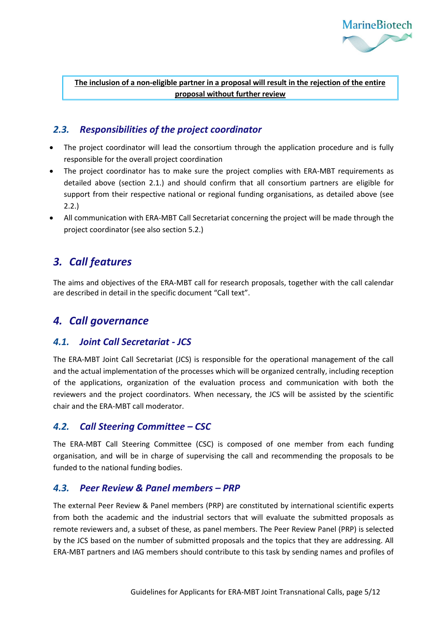

**The inclusion of a non-eligible partner in a proposal will result in the rejection of the entire proposal without further review**

### <span id="page-4-0"></span>*2.3. Responsibilities of the project coordinator*

- The project coordinator will lead the consortium through the application procedure and is fully responsible for the overall project coordination
- The project coordinator has to make sure the project complies with ERA-MBT requirements as detailed above (section 2.1.) and should confirm that all consortium partners are eligible for support from their respective national or regional funding organisations, as detailed above (see 2.2.)
- All communication with ERA-MBT Call Secretariat concerning the project will be made through the project coordinator (see also section 5.2.)

## <span id="page-4-1"></span>*3. Call features*

The aims and objectives of the ERA-MBT call for research proposals, together with the call calendar are described in detail in the specific document "Call text".

## <span id="page-4-2"></span>*4. Call governance*

### <span id="page-4-3"></span>*4.1. Joint Call Secretariat - JCS*

The ERA-MBT Joint Call Secretariat (JCS) is responsible for the operational management of the call and the actual implementation of the processes which will be organized centrally, including reception of the applications, organization of the evaluation process and communication with both the reviewers and the project coordinators. When necessary, the JCS will be assisted by the scientific chair and the ERA-MBT call moderator.

### <span id="page-4-4"></span>*4.2. Call Steering Committee – CSC*

The ERA-MBT Call Steering Committee (CSC) is composed of one member from each funding organisation, and will be in charge of supervising the call and recommending the proposals to be funded to the national funding bodies.

#### <span id="page-4-5"></span>*4.3. Peer Review & Panel members – PRP*

The external Peer Review & Panel members (PRP) are constituted by international scientific experts from both the academic and the industrial sectors that will evaluate the submitted proposals as remote reviewers and, a subset of these, as panel members. The Peer Review Panel (PRP) is selected by the JCS based on the number of submitted proposals and the topics that they are addressing. All ERA-MBT partners and IAG members should contribute to this task by sending names and profiles of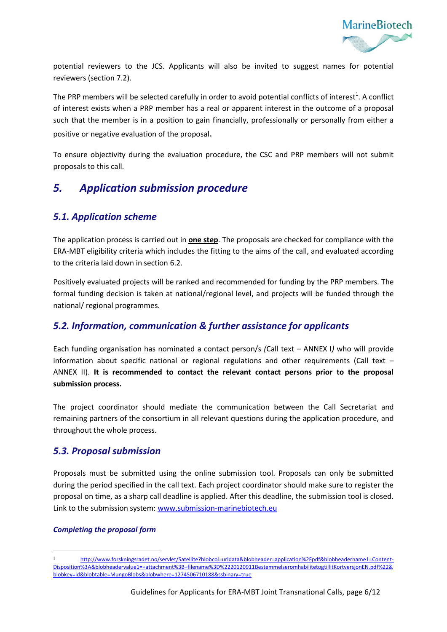

potential reviewers to the JCS. Applicants will also be invited to suggest names for potential reviewers (section 7.2).

The PRP members will be selected carefully in order to avoid potential conflicts of interest<sup>1</sup>. A conflict of interest exists when a PRP member has a real or apparent interest in the outcome of a proposal such that the member is in a position to gain financially, professionally or personally from either a positive or negative evaluation of the proposal.

To ensure objectivity during the evaluation procedure, the CSC and PRP members will not submit proposals to this call.

## <span id="page-5-0"></span>*5. Application submission procedure*

### <span id="page-5-1"></span>*5.1. Application scheme*

The application process is carried out in **one step**. The proposals are checked for compliance with the ERA-MBT eligibility criteria which includes the fitting to the aims of the call, and evaluated according to the criteria laid down in section 6.2.

Positively evaluated projects will be ranked and recommended for funding by the PRP members. The formal funding decision is taken at national/regional level, and projects will be funded through the national/ regional programmes.

### <span id="page-5-2"></span>*5.2. Information, communication & further assistance for applicants*

Each funding organisation has nominated a contact person/s *(*Call text – ANNEX I*)* who will provide information about specific national or regional regulations and other requirements (Call text -ANNEX II). **It is recommended to contact the relevant contact persons prior to the proposal submission process.** 

The project coordinator should mediate the communication between the Call Secretariat and remaining partners of the consortium in all relevant questions during the application procedure, and throughout the whole process.

### <span id="page-5-3"></span>*5.3. Proposal submission*

Proposals must be submitted using the online submission tool. Proposals can only be submitted during the period specified in the call text. Each project coordinator should make sure to register the proposal on time, as a sharp call deadline is applied. After this deadline, the submission tool is closed. Link to the submission system: [www.submission-marinebiotech.eu](http://www.submission-marinebiotech.eu/)

#### *Completing the proposal form*

l

<sup>1</sup> [http://www.forskningsradet.no/servlet/Satellite?blobcol=urldata&blobheader=application%2Fpdf&blobheadername1=Content-](http://www.forskningsradet.no/servlet/Satellite?blobcol=urldata&blobheader=application%2Fpdf&blobheadername1=Content-Disposition%3A&blobheadervalue1=+attachment%3B+filename%3D%2220120911BestemmelseromhabilitetogtillitKortversjonEN.pdf%22&blobkey=id&blobtable=MungoBlobs&blobwhere=1274506710188&ssbinary=true)[Disposition%3A&blobheadervalue1=+attachment%3B+filename%3D%2220120911BestemmelseromhabilitetogtillitKortversjonEN.pdf%22&](http://www.forskningsradet.no/servlet/Satellite?blobcol=urldata&blobheader=application%2Fpdf&blobheadername1=Content-Disposition%3A&blobheadervalue1=+attachment%3B+filename%3D%2220120911BestemmelseromhabilitetogtillitKortversjonEN.pdf%22&blobkey=id&blobtable=MungoBlobs&blobwhere=1274506710188&ssbinary=true) [blobkey=id&blobtable=MungoBlobs&blobwhere=1274506710188&ssbinary=true](http://www.forskningsradet.no/servlet/Satellite?blobcol=urldata&blobheader=application%2Fpdf&blobheadername1=Content-Disposition%3A&blobheadervalue1=+attachment%3B+filename%3D%2220120911BestemmelseromhabilitetogtillitKortversjonEN.pdf%22&blobkey=id&blobtable=MungoBlobs&blobwhere=1274506710188&ssbinary=true)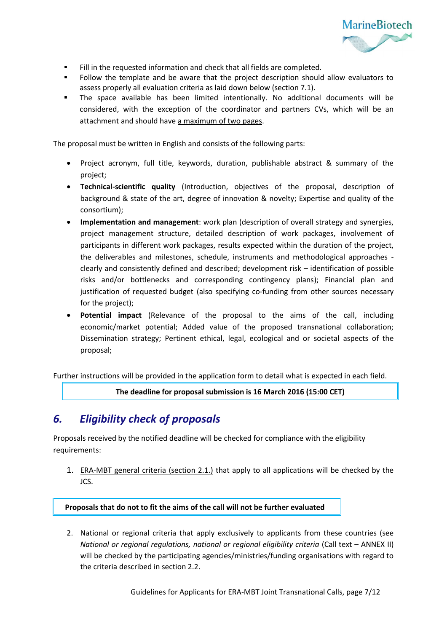

- Fill in the requested information and check that all fields are completed.
- Follow the template and be aware that the project description should allow evaluators to assess properly all evaluation criteria as laid down below (section 7.1).
- The space available has been limited intentionally. No additional documents will be considered, with the exception of the coordinator and partners CVs, which will be an attachment and should have a maximum of two pages.

The proposal must be written in English and consists of the following parts:

- Project acronym, full title, keywords, duration, publishable abstract & summary of the project;
- **Technical-scientific quality** (Introduction, objectives of the proposal, description of background & state of the art, degree of innovation & novelty; Expertise and quality of the consortium);
- **Implementation and management**: work plan (description of overall strategy and synergies, project management structure, detailed description of work packages, involvement of participants in different work packages, results expected within the duration of the project, the deliverables and milestones, schedule, instruments and methodological approaches clearly and consistently defined and described; development risk – identification of possible risks and/or bottlenecks and corresponding contingency plans); Financial plan and justification of requested budget (also specifying co-funding from other sources necessary for the project);
- **Potential impact** (Relevance of the proposal to the aims of the call, including economic/market potential; Added value of the proposed transnational collaboration; Dissemination strategy; Pertinent ethical, legal, ecological and or societal aspects of the proposal;

Further instructions will be provided in the application form to detail what is expected in each field.

**The deadline for proposal submission is 16 March 2016 (15:00 CET)**

## <span id="page-6-0"></span>*6. Eligibility check of proposals*

Proposals received by the notified deadline will be checked for compliance with the eligibility requirements:

1. ERA-MBT general criteria (section 2.1.) that apply to all applications will be checked by the JCS.

#### **Proposals that do not to fit the aims of the call will not be further evaluated**

2. National or regional criteria that apply exclusively to applicants from these countries (see *National or regional regulations, national or regional eligibility criteria* (Call text – ANNEX II) will be checked by the participating agencies/ministries/funding organisations with regard to the criteria described in section 2.2.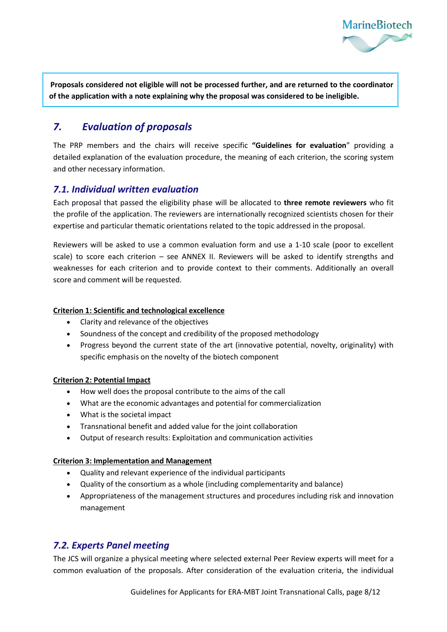

 **Proposals considered not eligible will not be processed further, and are returned to the coordinator of the application with a note explaining why the proposal was considered to be ineligible.** 

## <span id="page-7-0"></span>*7. Evaluation of proposals*

The PRP members and the chairs will receive specific **"Guidelines for evaluation**" providing a detailed explanation of the evaluation procedure, the meaning of each criterion, the scoring system and other necessary information.

### <span id="page-7-1"></span>*7.1. Individual written evaluation*

Each proposal that passed the eligibility phase will be allocated to **three remote reviewers** who fit the profile of the application. The reviewers are internationally recognized scientists chosen for their expertise and particular thematic orientations related to the topic addressed in the proposal.

Reviewers will be asked to use a common evaluation form and use a 1-10 scale (poor to excellent scale) to score each criterion – see ANNEX II. Reviewers will be asked to identify strengths and weaknesses for each criterion and to provide context to their comments. Additionally an overall score and comment will be requested.

#### **Criterion 1: Scientific and technological excellence**

- Clarity and relevance of the objectives
- Soundness of the concept and credibility of the proposed methodology
- Progress beyond the current state of the art (innovative potential, novelty, originality) with specific emphasis on the novelty of the biotech component

#### **Criterion 2: Potential Impact**

- How well does the proposal contribute to the aims of the call
- What are the economic advantages and potential for commercialization
- What is the societal impact
- Transnational benefit and added value for the joint collaboration
- Output of research results: Exploitation and communication activities

#### **Criterion 3: Implementation and Management**

- Quality and relevant experience of the individual participants
- Quality of the consortium as a whole (including complementarity and balance)
- Appropriateness of the management structures and procedures including risk and innovation management

### <span id="page-7-2"></span>*7.2. Experts Panel meeting*

The JCS will organize a physical meeting where selected external Peer Review experts will meet for a common evaluation of the proposals. After consideration of the evaluation criteria, the individual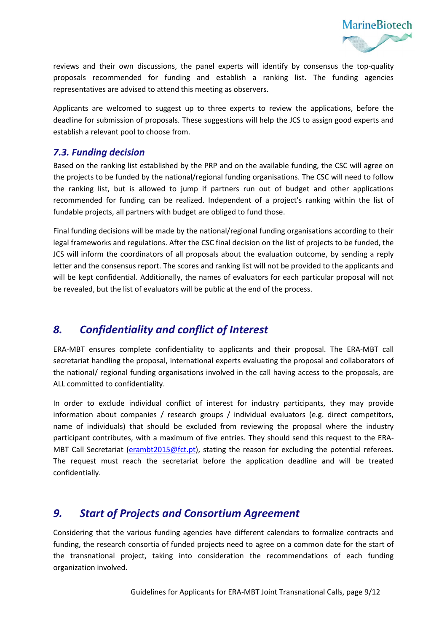

reviews and their own discussions, the panel experts will identify by consensus the top-quality proposals recommended for funding and establish a ranking list. The funding agencies representatives are advised to attend this meeting as observers.

Applicants are welcomed to suggest up to three experts to review the applications, before the deadline for submission of proposals. These suggestions will help the JCS to assign good experts and establish a relevant pool to choose from.

### <span id="page-8-0"></span>*7.3. Funding decision*

Based on the ranking list established by the PRP and on the available funding, the CSC will agree on the projects to be funded by the national/regional funding organisations. The CSC will need to follow the ranking list, but is allowed to jump if partners run out of budget and other applications recommended for funding can be realized. Independent of a project's ranking within the list of fundable projects, all partners with budget are obliged to fund those.

Final funding decisions will be made by the national/regional funding organisations according to their legal frameworks and regulations. After the CSC final decision on the list of projects to be funded, the JCS will inform the coordinators of all proposals about the evaluation outcome, by sending a reply letter and the consensus report. The scores and ranking list will not be provided to the applicants and will be kept confidential. Additionally, the names of evaluators for each particular proposal will not be revealed, but the list of evaluators will be public at the end of the process.

## <span id="page-8-1"></span>*8. Confidentiality and conflict of Interest*

ERA-MBT ensures complete confidentiality to applicants and their proposal. The ERA-MBT call secretariat handling the proposal, international experts evaluating the proposal and collaborators of the national/ regional funding organisations involved in the call having access to the proposals, are ALL committed to confidentiality.

In order to exclude individual conflict of interest for industry participants, they may provide information about companies / research groups / individual evaluators (e.g. direct competitors, name of individuals) that should be excluded from reviewing the proposal where the industry participant contributes, with a maximum of five entries. They should send this request to the ERA-MBT Call Secretariat [\(erambt2015@fct.pt\)](mailto:erambt2015@fct.pt), stating the reason for excluding the potential referees. The request must reach the secretariat before the application deadline and will be treated confidentially.

### <span id="page-8-2"></span>*9. Start of Projects and Consortium Agreement*

Considering that the various funding agencies have different calendars to formalize contracts and funding, the research consortia of funded projects need to agree on a common date for the start of the transnational project, taking into consideration the recommendations of each funding organization involved.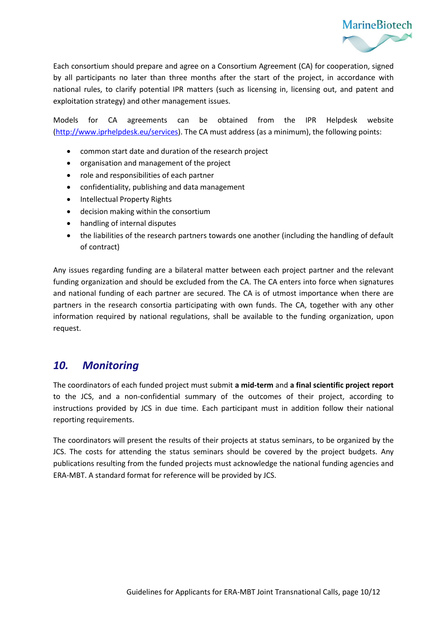

Each consortium should prepare and agree on a Consortium Agreement (CA) for cooperation, signed by all participants no later than three months after the start of the project, in accordance with national rules, to clarify potential IPR matters (such as licensing in, licensing out, and patent and exploitation strategy) and other management issues.

Models for CA agreements can be obtained from the IPR Helpdesk website [\(http://www.iprhelpdesk.eu/services\)](http://www.iprhelpdesk.eu/services). The CA must address (as a minimum), the following points:

- common start date and duration of the research project
- organisation and management of the project
- role and responsibilities of each partner
- confidentiality, publishing and data management
- Intellectual Property Rights
- decision making within the consortium
- handling of internal disputes
- the liabilities of the research partners towards one another (including the handling of default of contract)

Any issues regarding funding are a bilateral matter between each project partner and the relevant funding organization and should be excluded from the CA. The CA enters into force when signatures and national funding of each partner are secured. The CA is of utmost importance when there are partners in the research consortia participating with own funds. The CA, together with any other information required by national regulations, shall be available to the funding organization, upon request.

### <span id="page-9-0"></span>*10. Monitoring*

The coordinators of each funded project must submit **a mid-term** and **a final scientific project report** to the JCS, and a non-confidential summary of the outcomes of their project, according to instructions provided by JCS in due time. Each participant must in addition follow their national reporting requirements.

The coordinators will present the results of their projects at status seminars, to be organized by the JCS. The costs for attending the status seminars should be covered by the project budgets. Any publications resulting from the funded projects must acknowledge the national funding agencies and ERA-MBT. A standard format for reference will be provided by JCS.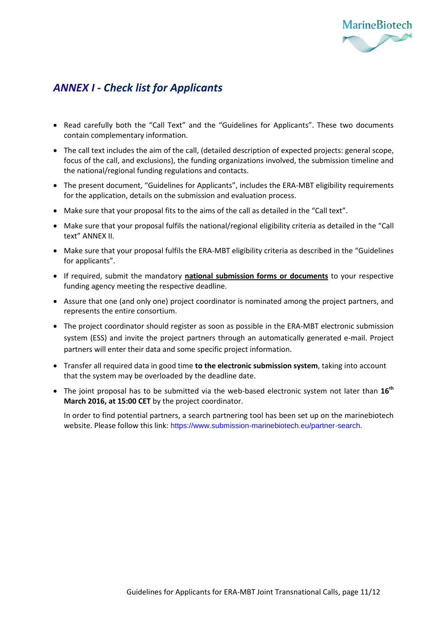

## <span id="page-10-0"></span>*ANNEX I - Check list for Applicants*

- Read carefully both the "Call Text" and the "Guidelines for Applicants". These two documents contain complementary information.
- The call text includes the aim of the call, (detailed description of expected projects: general scope, focus of the call, and exclusions), the funding organizations involved, the submission timeline and the national/regional funding regulations and contacts.
- The present document, "Guidelines for Applicants", includes the ERA-MBT eligibility requirements for the application, details on the submission and evaluation process.
- Make sure that your proposal fits to the aims of the call as detailed in the "Call text".
- Make sure that your proposal fulfils the national/regional eligibility criteria as detailed in the "Call text" ANNEX II.
- Make sure that your proposal fulfils the ERA-MBT eligibility criteria as described in the "Guidelines for applicants".
- If required, submit the mandatory **national submission forms or documents** to your respective funding agency meeting the respective deadline.
- Assure that one (and only one) project coordinator is nominated among the project partners, and represents the entire consortium.
- The project coordinator should register as soon as possible in the ERA-MBT electronic submission system (ESS) and invite the project partners through an automatically generated e-mail. Project partners will enter their data and some specific project information.
- Transfer all required data in good time **to the electronic submission system**, taking into account that the system may be overloaded by the deadline date.
- The joint proposal has to be submitted via the web-based electronic system not later than **16th March 2016, at 15:00 CET** by the project coordinator.

In order to find potential partners, a search partnering tool has been set up on the marinebiotech website. Please follow this link: [https://www.submission-marinebiotech.eu/partner-search.](https://www.submission-marinebiotech.eu/partner-search)